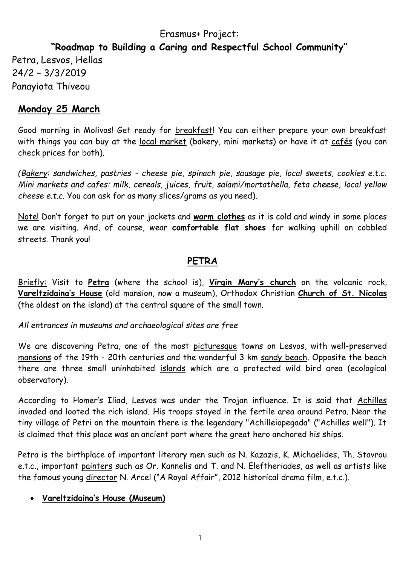# Erasmus+ Project:

# **"Roadmap to Building a Caring and Respectful School Community"**

Petra, Lesvos, Hellas 24/2 – 3/3/2019 Panayiota Thiveou

# **Monday 25 March**

Good morning in Molivos! Get ready for breakfast! You can either prepare your own breakfast with things you can buy at the local market (bakery, mini markets) or have it at cafés (you can check prices for both).

*(Bakery: sandwiches, pastries - cheese pie, spinach pie, sausage pie, local sweets, cookies e.t.c. Mini markets and cafes: milk, cereals, juices, fruit, salami/mortathella, feta cheese, local yellow cheese e.t.c.* You can ask for as many slices/grams as you need).

Note! Don't forget to put on your jackets and **warm clothes** as it is cold and windy in some places we are visiting. And, of course, wear **comfortable flat shoes** for walking uphill on cobbled streets. Thank you!

# **PETRA**

Briefly: Visit to **Petra** (where the school is), **Virgin Mary's church** on the volcanic rock, **[Vareltzidaina's House](http://www.tripadvisor.com/Attraction_Review-g635611-d3611568-Reviews-Vareltzidaina_s_House-Petra_Lesbos_Northeast_Aegean_Islands.html)** (old mansion, now a museum), Orthodox Christian **Church of St. Nicolas** (the oldest on the island) at the central square of the small town.

#### *All entrances in museums and archaeological sites are free*

We are discovering Petra, one of the most picturesque towns on Lesvos, with well-preserved mansions of the 19th - 20th centuries and the wonderful 3 km sandy beach. Opposite the beach there are three small uninhabited islands which are a protected wild bird area (ecological observatory).

According to Homer's Iliad, Lesvos was under the Trojan influence. It is said that Achilles invaded and looted the rich island. His troops stayed in the fertile area around Petra. Near the tiny village of Petri on the mountain there is the legendary "Achilleiopegada" ("Achilles well"). It is claimed that this place was an ancient port where the great hero anchored his ships.

Petra is the birthplace of important literary men such as N. Kazazis, K. Michaelides, Th. Stavrou e.t.c., important painters such as Or. Kannelis and T. and N. Eleftheriades, as well as artists like the famous young director N. Arcel ("A Royal Affair", 2012 historical drama film, e.t.c.).

#### **[Vareltzidaina's House](http://www.tripadvisor.com/Attraction_Review-g635611-d3611568-Reviews-Vareltzidaina_s_House-Petra_Lesbos_Northeast_Aegean_Islands.html) (Museum)**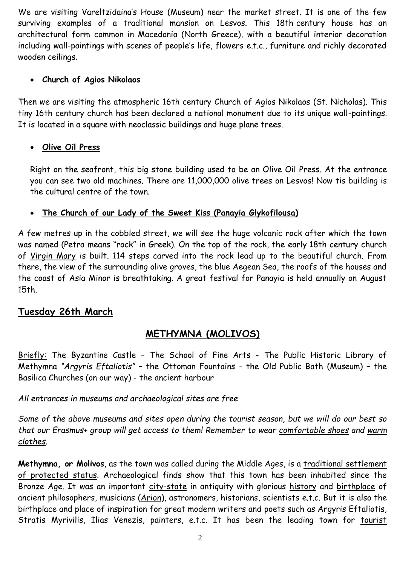We are visiting [Vareltzidaina's House](http://www.tripadvisor.com/Attraction_Review-g635611-d3611568-Reviews-Vareltzidaina_s_House-Petra_Lesbos_Northeast_Aegean_Islands.html) (Museum) near the market street. It is one of the few surviving examples of a traditional mansion on Lesvos. This 18th century house has an architectural form common in Macedonia (North Greece), with a beautiful interior decoration including wall-paintings with scenes of people's life, flowers e.t.c., furniture and richly decorated wooden ceilings.

#### **Church of Agios Nikolaos**

Then we are visiting the atmospheric 16th century Church of Agios Nikolaos (St. Nicholas). This tiny 16th century church has been declared a national monument due to its unique wall-paintings. It is located in a square with neoclassic buildings and huge plane trees.

### **Olive Oil Press**

Right on the seafront, this big stone building used to be an Olive Oil Press. At the entrance you can see two old machines. There are 11,000,000 olive trees on Lesvos! Now tis building is the cultural centre of the town.

#### **The Church of our Lady of the Sweet Kiss (Panayia Glykofilousa)**

A few metres up in the cobbled street, we will see the huge volcanic rock after which the town was named (Petra means "rock" in Greek). On the top of the rock, the early 18th century church of Virgin Mary is built. 114 steps carved into the rock lead up to the beautiful church. From there, the view of the surrounding olive groves, the blue Aegean Sea, the roofs of the houses and the coast of Asia Minor is breathtaking. A great festival for Panayia is held annually on August 15th.

# **Tuesday 26th March**

# **METHYMNA (MOLIVOS)**

Briefly: The Byzantine Castle - The School of Fine Arts - The Public Historic Library of Methymna *"Argyris Eftaliotis"* – the Ottoman Fountains - the Old Public Bath (Museum) – the Basilica Churches (on our way) - the ancient harbour

### *All entrances in museums and archaeological sites are free*

*Some of the above museums and sites open during the tourist season, but we will do our best so that our Erasmus+ group will get access to them! Remember to wear comfortable shoes and warm clothes.*

**Methymna, or Molivos**, as the town was called during the Middle Ages, is a traditional settlement of protected status. Archaeological finds show that this town has been inhabited since the Bronze Age. It was an important city-state in antiquity with glorious history and birthplace of ancient philosophers, musicians (Arion), astronomers, historians, scientists e.t.c. But it is also the birthplace and place of inspiration for great modern writers and poets such as Argyris Eftaliotis, Stratis Myrivilis, Ilias Venezis, painters, e.t.c. It has been the leading town for tourist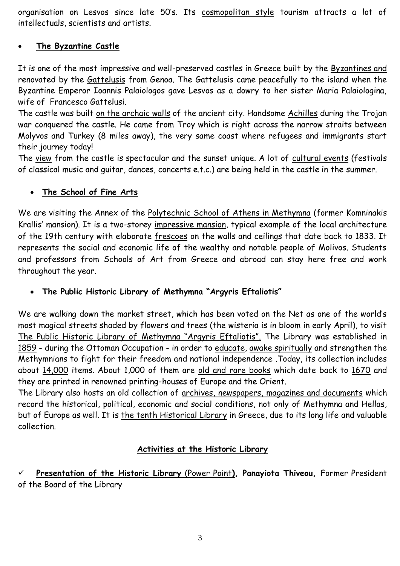organisation on Lesvos since late 50's. Its cosmopolitan style tourism attracts a lot of intellectuals, scientists and artists.

#### **The Byzantine Castle**

It is one of the most impressive and well-preserved castles in Greece built by the Byzantines and renovated by the Gattelusis from Genoa. The Gattelusis came peacefully to the island when the Byzantine Emperor Ioannis Palaiologos gave Lesvos as a dowry to her sister Maria Palaiologina, wife of Francesco Gattelusi.

The castle was built on the archaic walls of the ancient city. Handsome Achilles during the Trojan war conquered the castle. He came from Troy which is right across the narrow straits between Molyvos and Turkey (8 miles away), the very same coast where refugees and immigrants start their journey today!

The view from the castle is spectacular and the sunset unique. A lot of cultural events (festivals of classical music and guitar, dances, concerts e.t.c.) are being held in the castle in the summer.

#### **The School of Fine Arts**

We are visiting the Annex of the Polytechnic School of Athens in Methymna (former Komninakis Krallis' mansion). It is a two-storey impressive mansion, typical example of the local architecture of the 19th century with elaborate frescoes on the walls and ceilings that date back to 1833. It represents the social and economic life of the wealthy and notable people of Molivos. Students and professors from Schools of Art from Greece and abroad can stay here free and work throughout the year.

#### **The Public Historic Library of Methymna "Argyris Eftaliotis"**

We are walking down the market street, which has been voted on the Net as one of the world's most magical streets shaded by flowers and trees (the wisteria is in bloom in early April), to visit The Public Historic Library of Methymna "Argyris Eftaliotis". The Library was established in 1859 - during the Ottoman Occupation - in order to educate, awake spiritually and strengthen the Methymnians to fight for their freedom and national independence .Today, its collection includes about 14,000 items. About 1,000 of them are old and rare books which date back to 1670 and they are printed in renowned printing-houses of Europe and the Orient.

The Library also hosts an old collection of archives, newspapers, magazines and documents which record the historical, political, economic and social conditions, not only of Methymna and Hellas, but of Europe as well. It is the tenth Historical Library in Greece, due to its long life and valuable collection.

#### **Activities at the Historic Library**

 **Presentation of the Historic Library** (Power Point**), Panayiota Thiveou,** Former President of the Board of the Library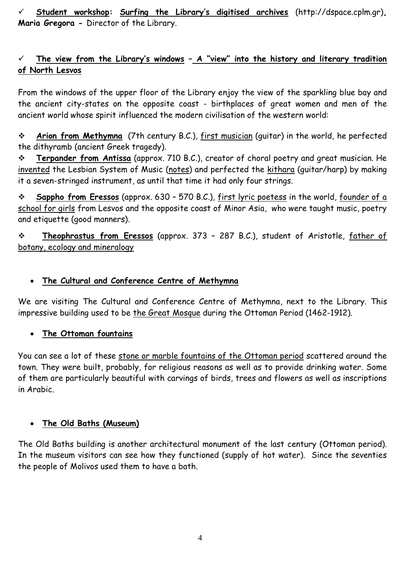**Student workshop: Surfing the Library's digitised archives** (http://dspace.cplm.gr)**, Maria Gregora -** Director of the Library.

### **The view from the Library's windows – A "view" into the history and literary tradition of North Lesvos**

From the windows of the upper floor of the Library enjoy the view of the sparkling blue bay and the ancient city-states on the opposite coast - birthplaces of great women and men of the ancient world whose spirit influenced the modern civilisation of the western world:

 **Arion from Methymna** (7th century B.C.), first musician (guitar) in the world, he perfected the dithyramb (ancient Greek tragedy).

 **Terpander from Antissa** (approx. 710 B.C.), creator of choral poetry and great musician. He invented the Lesbian System of Music (notes) and perfected the kithara (guitar/harp) by making it a seven-stringed instrument, as until that time it had only four strings.

 **Sappho from Eressos** (approx. 630 – 570 B.C.), first lyric poetess in the world, founder of a school for girls from Lesvos and the opposite coast of Minor Asia, who were taught music, poetry and etiquette (good manners).

 **Theophrastus from Eressos** (approx. 373 – 287 B.C.), student of Aristotle, father of botany, ecology and mineralogy

### **The Cultural and Conference Centre of Methymna**

We are visiting The Cultural and Conference Centre of Methymna, next to the Library. This impressive building used to be the Great Mosque during the Ottoman Period (1462-1912).

#### **The Ottoman fountains**

You can see a lot of these stone or marble fountains of the Ottoman period scattered around the town. They were built, probably, for religious reasons as well as to provide drinking water. Some of them are particularly beautiful with carvings of birds, trees and flowers as well as inscriptions in Arabic.

#### **The Old Baths (Museum)**

The Old Baths building is another architectural monument of the last century (Ottoman period). In the museum visitors can see how they functioned (supply of hot water). Since the seventies the people of Molivos used them to have a bath.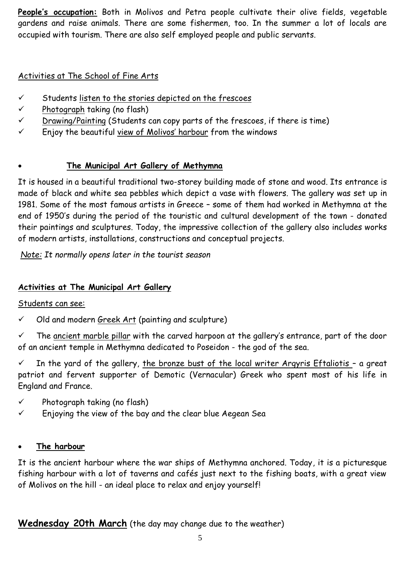**People's occupation:** Both in Molivos and Petra people cultivate their olive fields, vegetable gardens and raise animals. There are some fishermen, too. In the summer a lot of locals are occupied with tourism. There are also self employed people and public servants.

### Activities at The School of Fine Arts

- $\checkmark$  Students listen to the stories depicted on the frescoes
- $\checkmark$  Photograph taking (no flash)
- $\checkmark$  Drawing/Painting (Students can copy parts of the frescoes, if there is time)
- $\checkmark$  Enjoy the beautiful view of Molivos' harbour from the windows

### **The Municipal Art Gallery of Methymna**

It is housed in a beautiful traditional two-storey building made of stone and wood. Its entrance is made of black and white sea pebbles which depict a vase with flowers. The gallery was set up in 1981. Some of the most famous artists in Greece – some of them had worked in Methymna at the end of 1950's during the period of the touristic and cultural development of the town - donated their paintings and sculptures. Today, the impressive collection of the gallery also includes works of modern artists, installations, constructions and conceptual projects.

*Note: It normally opens later in the tourist season*

# **Activities at The Municipal Art Gallery**

### Students can see:

 $\checkmark$  Old and modern Greek Art (painting and sculpture)

 $\checkmark$  The ancient marble pillar with the carved harpoon at the gallery's entrance, part of the door of an ancient temple in Methymna dedicated to Poseidon - the god of the sea.

 $\checkmark$  In the yard of the gallery, the bronze bust of the local writer Argyris Eftaliotis - a great patriot and fervent supporter of Demotic (Vernacular) Greek who spent most of his life in England and France.

- $\checkmark$  Photograph taking (no flash)
- $\checkmark$  Enjoying the view of the bay and the clear blue Aegean Sea

### **The harbour**

It is the ancient harbour where the war ships of Methymna anchored. Today, it is a picturesque fishing harbour with a lot of taverns and cafés just next to the fishing boats, with a great view of Molivos on the hill - an ideal place to relax and enjoy yourself!

**Wednesday 20th March** (the day may change due to the weather)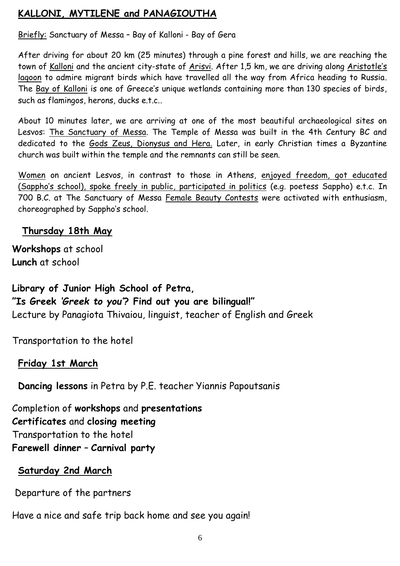# **KALLONI, MYTILENE and PANAGIOUTHA**

Briefly: Sanctuary of Messa – Bay of Kalloni - Bay of Gera

After driving for about 20 km (25 minutes) through a pine forest and hills, we are reaching the town of Kalloni and the ancient city-state of Arisvi. After 1,5 km, we are driving along Aristotle's lagoon to admire migrant birds which have travelled all the way from Africa heading to Russia. The Bay of Kalloni is one of Greece's unique wetlands containing more than 130 species of birds, such as flamingos, herons, ducks e.t.c..

About 10 minutes later, we are arriving at one of the most beautiful archaeological sites on Lesvos: The Sanctuary of Messa. The Temple of Messa was built in the 4th Century BC and dedicated to the Gods Zeus, Dionysus and Hera. Later, in early Christian times a Byzantine church was built within the temple and the remnants can still be seen.

Women on ancient Lesvos, in contrast to those in Athens, enjoyed freedom, got educated (Sappho's school), spoke freely in public, participated in politics (e.g. poetess Sappho) e.t.c. In 700 B.C. at The Sanctuary of Messa Female Beauty Contests were activated with enthusiasm, choreographed by Sappho's school*.*

# **Thursday 18th May**

**Workshops** at school **Lunch** at school

**Library of Junior High School of Petra, "Is Greek** *'Greek to you'***? Find out you are bilingual!"**  Lecture by Panagiota Thivaiou, linguist, teacher of English and Greek

Transportation to the hotel

# **Friday 1st March**

**Dancing lessons** in Petra by P.E. teacher Yiannis Papoutsanis

Completion of **workshops** and **presentations Certificates** and **closing meeting** Transportation to the hotel **Farewell dinner** – **Carnival party**

# **Saturday 2nd March**

Departure of the partners

Have a nice and safe trip back home and see you again!